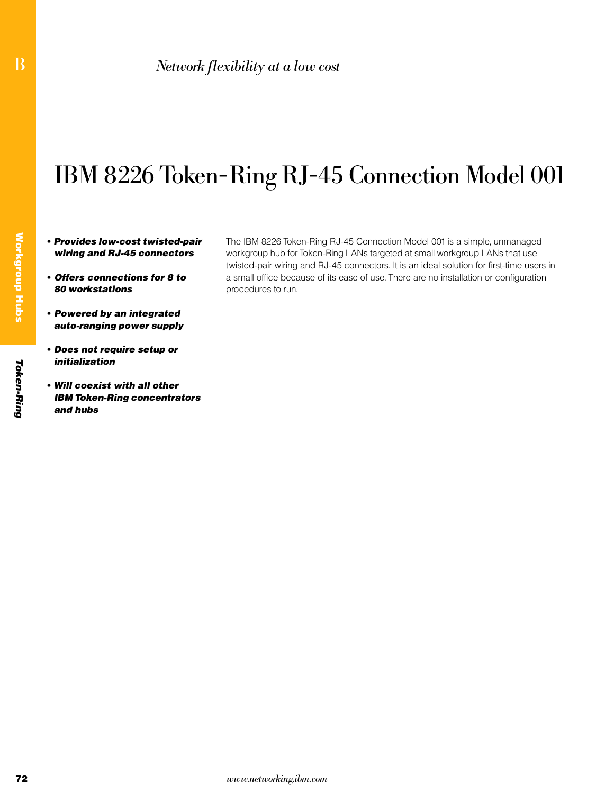# IBM 8226 Token-Ring RJ-45 Connection Model 001

- Provides low-cost twisted-pair wiring and RJ-45 connectors
- Offers connections for 8 to 80 workstations
- Powered by an integrated auto-ranging power supply
- Does not require setup or initialization
- Will coexist with all other IBM Token-Ring concentrators and hubs

The IBM 8226 Token-Ring RJ-45 Connection Model 001 is a simple, unmanaged workgroup hub for Token-Ring LANs targeted at small workgroup LANs that use twisted-pair wiring and RJ-45 connectors. It is an ideal solution for first-time users in a small office because of its ease of use. There are no installation or configuration procedures to run.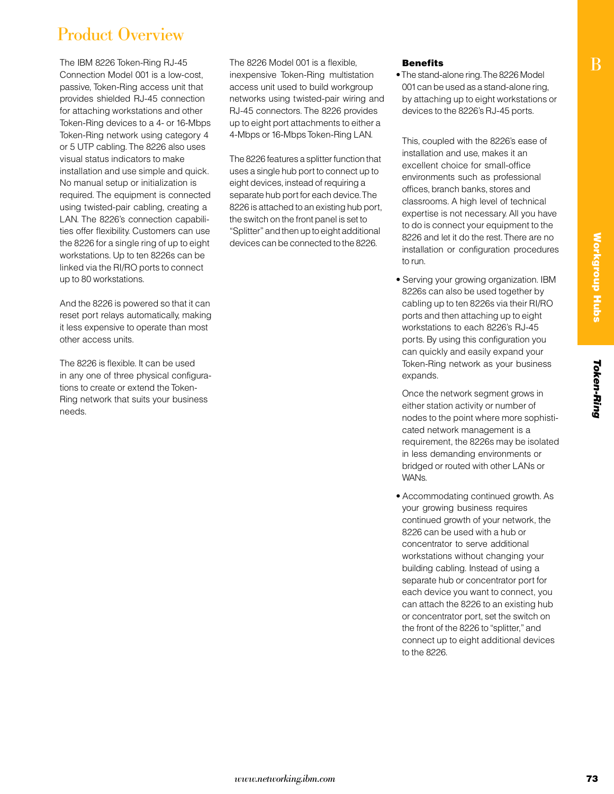#### Product Overview

The IBM 8226 Token-Ring RJ-45 Connection Model 001 is a low-cost, passive, Token-Ring access unit that provides shielded RJ-45 connection for attaching workstations and other Token-Ring devices to a 4- or 16-Mbps Token-Ring network using category 4 or 5 UTP cabling. The 8226 also uses visual status indicators to make installation and use simple and quick. No manual setup or initialization is required. The equipment is connected using twisted-pair cabling, creating a LAN. The 8226's connection capabilities offer flexibility. Customers can use the 8226 for a single ring of up to eight workstations. Up to ten 8226s can be linked via the RI/RO ports to connect up to 80 workstations.

And the 8226 is powered so that it can reset port relays automatically, making it less expensive to operate than most other access units.

The 8226 is flexible. It can be used in any one of three physical configurations to create or extend the Token-Ring network that suits your business needs.

The 8226 Model 001 is a flexible, inexpensive Token-Ring multistation access unit used to build workgroup networks using twisted-pair wiring and RJ-45 connectors. The 8226 provides up to eight port attachments to either a 4-Mbps or 16-Mbps Token-Ring LAN.

The 8226 features a splitter function that uses a single hub port to connect up to eight devices, instead of requiring a separate hub port for each device. The 8226 is attached to an existing hub port, the switch on the front panel is set to "Splitter" and then up to eight additional devices can be connected to the 8226.

#### **Benefits**

• The stand-alone ring. The 8226 Model 001 can be used as a stand-alone ring, by attaching up to eight workstations or devices to the 8226's RJ-45 ports.

This, coupled with the 8226's ease of installation and use, makes it an excellent choice for small-office environments such as professional offices, branch banks, stores and classrooms. A high level of technical expertise is not necessary. All you have to do is connect your equipment to the 8226 and let it do the rest. There are no installation or configuration procedures to run.

• Serving your growing organization. IBM 8226s can also be used together by cabling up to ten 8226s via their RI/RO ports and then attaching up to eight workstations to each 8226's RJ-45 ports. By using this configuration you can quickly and easily expand your Token-Ring network as your business expands.

 Once the network segment grows in either station activity or number of nodes to the point where more sophisticated network management is a requirement, the 8226s may be isolated in less demanding environments or bridged or routed with other LANs or WANs.

• Accommodating continued growth. As your growing business requires continued growth of your network, the 8226 can be used with a hub or concentrator to serve additional workstations without changing your building cabling. Instead of using a separate hub or concentrator port for each device you want to connect, you can attach the 8226 to an existing hub or concentrator port, set the switch on the front of the 8226 to "splitter," and connect up to eight additional devices to the 8226.